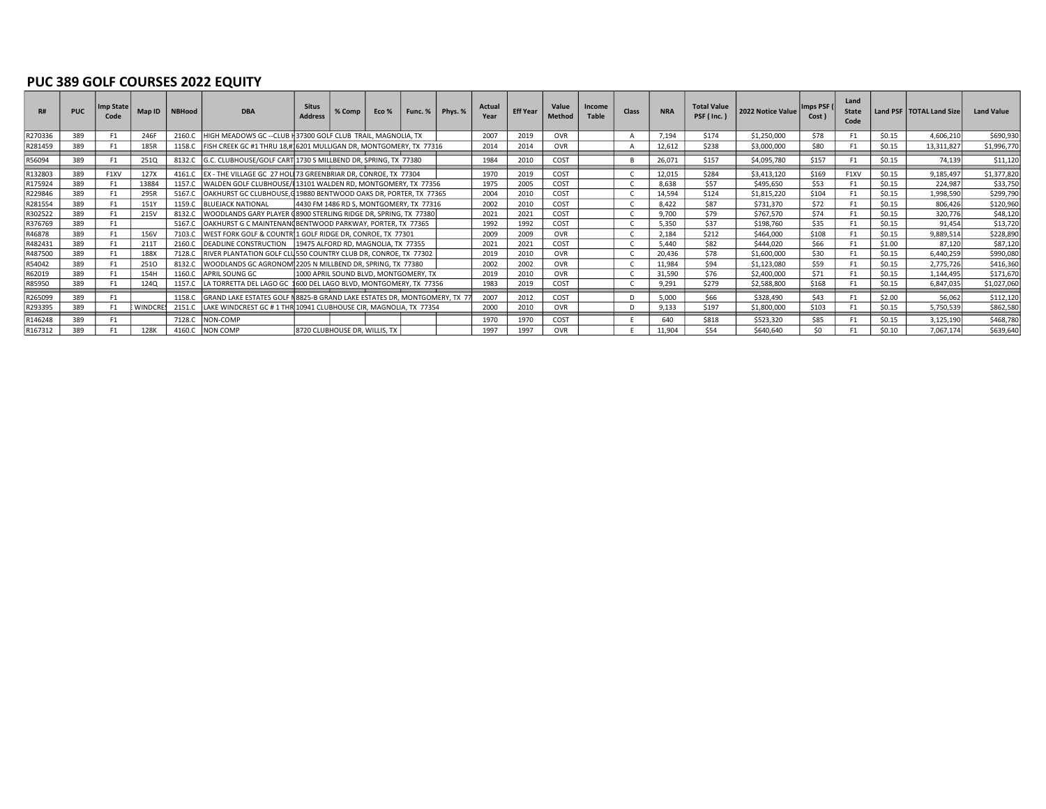#### PUC 389 GOLF COURSES 2022 EQUITY

| R#      | <b>PUC</b> | Imp State<br>Code | Map ID   | <b>NBHood</b> | <b>DBA</b>                                                              | <b>Situs</b><br><b>Address</b> | $%$ Comp $ $                            | Eco % | $\vert$ Func. $\%$ $\vert$ Phys. $\%$ | Actual<br>Year | <b>Eff Year</b> | Value<br>Method | Income<br><b>Table</b> | <b>Class</b> | <b>NRA</b> | <b>Total Value</b><br>PSF (Inc.) | 2022 Notice Value | Imps PSF (<br>Cost ) | Land<br><b>State</b><br>Code |        | Land PSF   TOTAL Land Size | Land Value  |
|---------|------------|-------------------|----------|---------------|-------------------------------------------------------------------------|--------------------------------|-----------------------------------------|-------|---------------------------------------|----------------|-----------------|-----------------|------------------------|--------------|------------|----------------------------------|-------------------|----------------------|------------------------------|--------|----------------------------|-------------|
| R270336 | 389        |                   | 246F     | 2160.C        | HIGH MEADOWS GC -- CLUB H 37300 GOLF CLUB TRAIL, MAGNOLIA, TX           |                                |                                         |       |                                       | 2007           | 2019            | <b>OVR</b>      |                        |              | 7.194      | \$174                            | \$1,250,000       | \$78                 | F <sub>1</sub>               | \$0.15 | 4,606,210                  | \$690,930   |
| R281459 | 389        | F1                | 185R     | 1158.C        | FISH CREEK GC #1 THRU 18,# 6201 MULLIGAN DR, MONTGOMERY, TX 77316       |                                |                                         |       |                                       | 2014           | 2014            | <b>OVR</b>      |                        |              | 12.612     | \$238                            | \$3,000,000       | \$80                 | F <sub>1</sub>               | \$0.15 | 13,311,827                 | \$1,996,770 |
| R56094  | 389        |                   | 2510     | 8132.C        | G.C. CLUBHOUSE/GOLF CART 1730 S MILLBEND DR, SPRING, TX 77380           |                                |                                         |       |                                       | 1984           | 2010            | COST            |                        |              | 26,071     | \$157                            | \$4,095,780       | \$157                | F <sub>1</sub>               | \$0.15 | 74.139                     | \$11,120    |
| R132803 | 389        | F1XV              | 127X     |               | 4161.C   EX - THE VILLAGE GC 27 HOL 73 GREENBRIAR DR, CONROE, TX 77304  |                                |                                         |       |                                       | 1970           | 2019            | COST            |                        |              | 12.015     | \$284                            | \$3,413,120       | \$169                | F1XV                         | \$0.15 | 9,185,497                  | \$1,377,820 |
| R175924 | 389        |                   | 13884    | 1157.C        | WALDEN GOLF CLUBHOUSE/I 13101 WALDEN RD, MONTGOMERY, TX 77356           |                                |                                         |       |                                       | 1975           | 2005            | COST            |                        |              | 8,638      | \$57                             | \$495,650         | \$53                 | F <sub>1</sub>               | \$0.15 | 224.987                    | \$33,750    |
| R229846 | 389        |                   | 295R     | 5167.C        | OAKHURST GC CLUBHOUSE, G19880 BENTWOOD OAKS DR, PORTER, TX 77365        |                                |                                         |       |                                       | 2004           | 2010            | COST            |                        |              | 14,594     | \$124                            | \$1,815,220       | \$104                | F <sub>1</sub>               | \$0.15 | 1,998,590                  | \$299,790   |
| R281554 | 389        |                   | 151Y     | 1159.C        | <b>BLUEJACK NATIONAL</b>                                                |                                | 4430 FM 1486 RD S, MONTGOMERY, TX 77316 |       |                                       | 2002           | 2010            | COST            |                        |              | 8,422      | \$87                             | \$731,370         | \$72                 | F1                           | \$0.15 | 806,426                    | \$120,960   |
| R302522 | 389        |                   | 215V     | 8132.C        | WOODLANDS GARY PLAYER (8900 STERLING RIDGE DR, SPRING, TX 77380         |                                |                                         |       |                                       | 2021           | 2021            | COST            |                        |              | 9,700      | \$79                             | \$767.570         | \$74                 | F <sub>1</sub>               | \$0.15 | 320,776                    | \$48,120    |
| R376769 | 389        | F1                |          | 5167.C        | OAKHURST G C MAINTENAN(BENTWOOD PARKWAY, PORTER, TX 77365               |                                |                                         |       |                                       | 1992           | 1992            | COST            |                        |              | 5,350      | \$37                             | \$198,760         | \$35                 | F <sub>1</sub>               | \$0.15 | 91.454                     | \$13,720    |
| R46878  | 389        |                   | 156V     | 7103.C        | WEST FORK GOLF & COUNTR 1 GOLF RIDGE DR, CONROE, TX 77301               |                                |                                         |       |                                       | 2009           | 2009            | <b>OVR</b>      |                        |              | 2,184      | \$212                            | \$464,000         | \$108                | F <sub>1</sub>               | \$0.15 | 9,889,514                  | \$228,890   |
| R482431 | 389        |                   | 2111     | 2160.C        | DEADLINE CONSTRUCTION 19475 ALFORD RD, MAGNOLIA, TX 77355               |                                |                                         |       |                                       | 2021           | 2021            | COST            |                        |              | 5.440      | \$82                             | \$444.020         | \$66                 | F <sub>1</sub>               | \$1.00 | 87.120                     | \$87,120    |
| R487500 | 389        |                   | 188X     | 7128.C        | RIVER PLANTATION GOLF CLUS50 COUNTRY CLUB DR, CONROE, TX 77302          |                                |                                         |       |                                       | 2019           | 2010            | OVR             |                        |              | 20,436     | \$78                             | \$1,600,000       | \$30                 | F <sub>1</sub>               | \$0.15 | 6,440,259                  | \$990,080   |
| R54042  | 389        |                   | 2510     | 8132.C        | WOODLANDS GC AGRONOM 2205 N MILLBEND DR, SPRING, TX 77380               |                                |                                         |       |                                       | 2002           | 2002            | <b>OVR</b>      |                        |              | 11.984     | \$94                             | \$1,123,080       | \$59                 | F <sub>1</sub>               | \$0.15 | 2,775,726                  | \$416,360   |
| R62019  | 389        | F1                | 154H     | 1160.C        | APRIL SOUNG GC                                                          |                                | 1000 APRIL SOUND BLVD, MONTGOMERY, TX   |       |                                       | 2019           | 2010            | <b>OVR</b>      |                        |              | 31,590     | \$76                             | \$2,400,000       | \$71                 | F <sub>1</sub>               | \$0.15 | 1.144.495                  | \$171,670   |
| R85950  | 389        | F1                | 1240     |               | 1157.C LA TORRETTA DEL LAGO GC 1600 DEL LAGO BLVD, MONTGOMERY, TX 77356 |                                |                                         |       |                                       | 1983           | 2019            | COST            |                        |              | 9,291      | \$279                            | \$2,588,800       | \$168                | F <sub>1</sub>               | \$0.15 | 6,847,035                  | \$1,027,060 |
| R265099 | 389        | F <sub>1</sub>    |          | 1158.C        | GRAND LAKE ESTATES GOLF N8825-B GRAND LAKE ESTATES DR, MONTGOMERY, TX   |                                |                                         |       |                                       | 2007           | 2012            | COST            |                        |              | 5.000      | \$66                             | \$328,490         | \$43                 | F <sub>1</sub>               | \$2.00 | 56,062                     | \$112,120   |
| R293395 | 389        |                   | WINDCRES | 2151.C        | LAKE WINDCREST GC # 1 THR 10941 CLUBHOUSE CIR, MAGNOLIA, TX 77354       |                                |                                         |       |                                       | 2000           | 2010            | <b>OVR</b>      |                        |              | 9,133      | \$197                            | \$1,800,000       | \$103                | F <sub>1</sub>               | \$0.15 | 5,750,539                  | \$862,580   |
| R146248 | 389        | F1                |          | 7128.C        | NON-COMP                                                                |                                |                                         |       |                                       | 1970           | 1970            | COST            |                        |              | 640        | \$818                            | \$523,320         | \$85                 | F <sub>1</sub>               | \$0.15 | 3,125,190                  | \$468,780   |
| R167312 | 389        |                   | 128K     | 4160.C        | <b>NON COMP</b>                                                         |                                | 8720 CLUBHOUSE DR, WILLIS, TX           |       |                                       | 1997           | 1997            | OVR             |                        |              | 11.904     | \$54                             | \$640,640         | \$0                  | F <sub>1</sub>               | \$0.10 | 7,067,174                  | \$639,640   |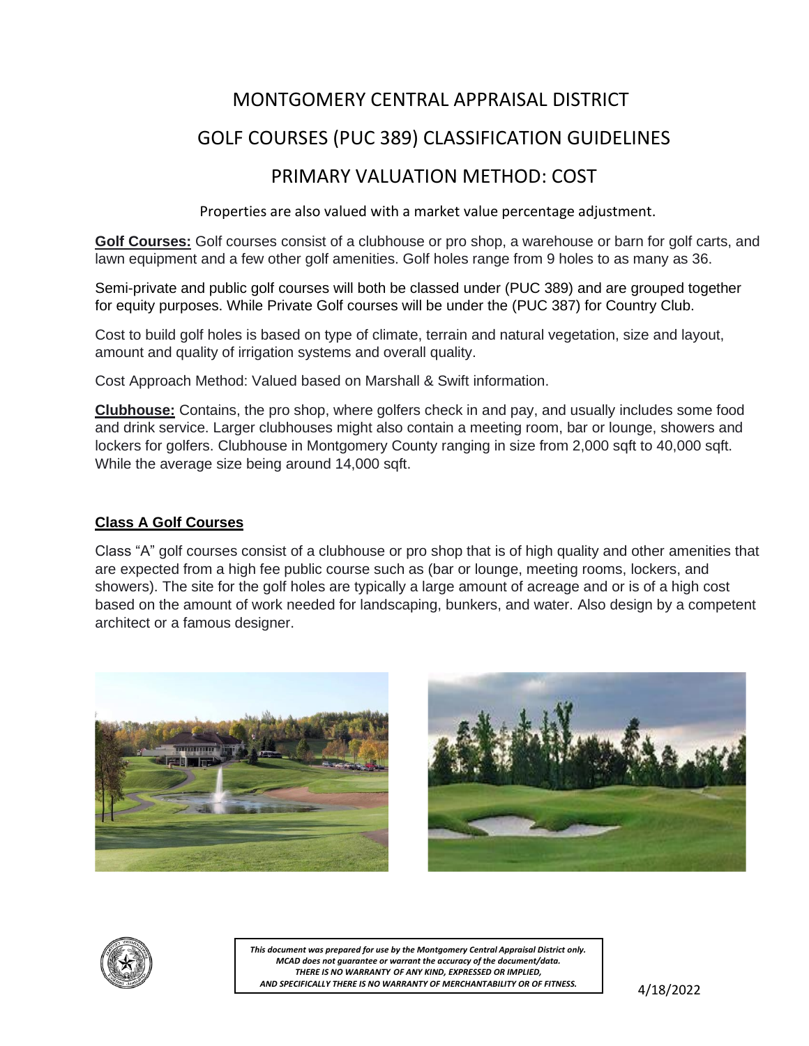## MONTGOMERY CENTRAL APPRAISAL DISTRICT

## GOLF COURSES (PUC 389) CLASSIFICATION GUIDELINES

## PRIMARY VALUATION METHOD: COST

Properties are also valued with a market value percentage adjustment.

**Golf Courses:** Golf courses consist of a clubhouse or pro shop, a warehouse or barn for golf carts, and lawn equipment and a few other golf amenities. Golf holes range from 9 holes to as many as 36.

Semi-private and public golf courses will both be classed under (PUC 389) and are grouped together for equity purposes. While Private Golf courses will be under the (PUC 387) for Country Club.

Cost to build golf holes is based on type of climate, terrain and natural vegetation, size and layout, amount and quality of irrigation systems and overall quality.

Cost Approach Method: Valued based on Marshall & Swift information.

**Clubhouse:** Contains, the pro shop, where golfers check in and pay, and usually includes some food and drink service. Larger clubhouses might also contain a meeting room, bar or lounge, showers and lockers for golfers. Clubhouse in Montgomery County ranging in size from 2,000 sqft to 40,000 sqft. While the average size being around 14,000 sqft.

### **Class A Golf Courses**

Class "A" golf courses consist of a clubhouse or pro shop that is of high quality and other amenities that are expected from a high fee public course such as (bar or lounge, meeting rooms, lockers, and showers). The site for the golf holes are typically a large amount of acreage and or is of a high cost based on the amount of work needed for landscaping, bunkers, and water. Also design by a competent architect or a famous designer.







*This document was prepared for use by the Montgomery Central Appraisal District only. MCAD does not guarantee or warrant the accuracy of the document/data. THERE IS NO WARRANTY OF ANY KIND, EXPRESSED OR IMPLIED, AND SPECIFICALLY THERE IS NO WARRANTY OF MERCHANTABILITY OR OF FITNESS.*

4/18/2022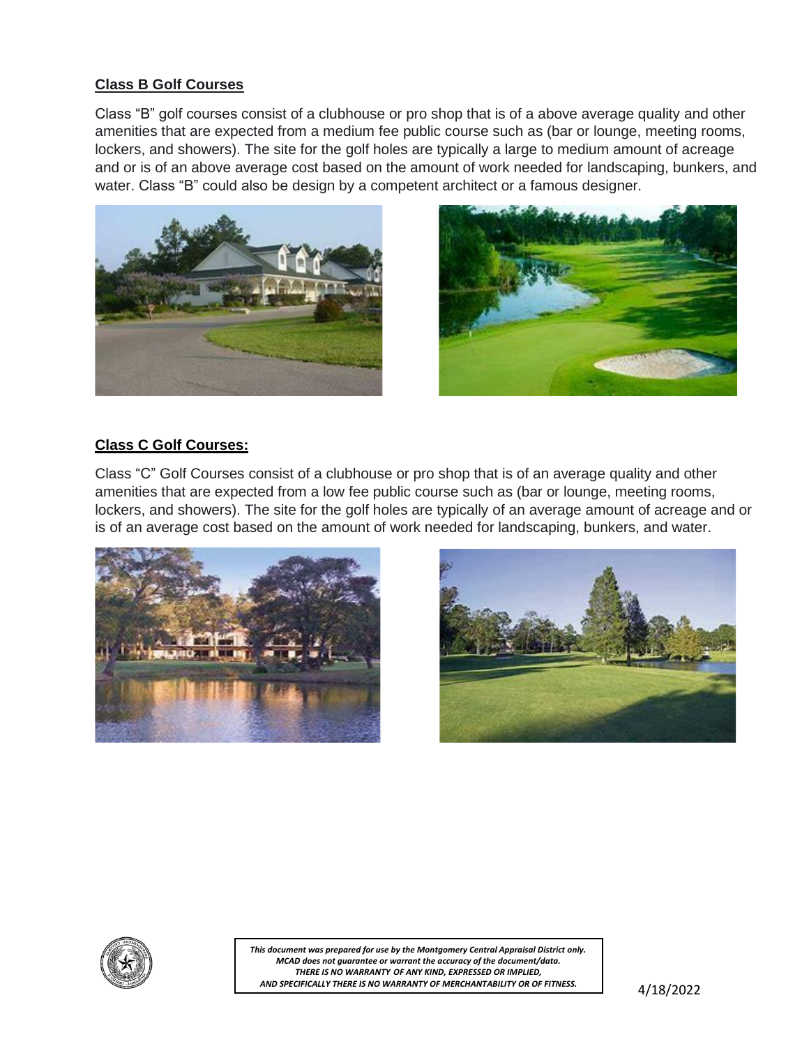#### **Class B Golf Courses**

Class "B" golf courses consist of a clubhouse or pro shop that is of a above average quality and other amenities that are expected from a medium fee public course such as (bar or lounge, meeting rooms, lockers, and showers). The site for the golf holes are typically a large to medium amount of acreage and or is of an above average cost based on the amount of work needed for landscaping, bunkers, and water. Class "B" could also be design by a competent architect or a famous designer.





### **Class C Golf Courses:**

Class "C" Golf Courses consist of a clubhouse or pro shop that is of an average quality and other amenities that are expected from a low fee public course such as (bar or lounge, meeting rooms, lockers, and showers). The site for the golf holes are typically of an average amount of acreage and or is of an average cost based on the amount of work needed for landscaping, bunkers, and water.







*This document was prepared for use by the Montgomery Central Appraisal District only. MCAD does not guarantee or warrant the accuracy of the document/data. THERE IS NO WARRANTY OF ANY KIND, EXPRESSED OR IMPLIED, AND SPECIFICALLY THERE IS NO WARRANTY OF MERCHANTABILITY OR OF FITNESS.*